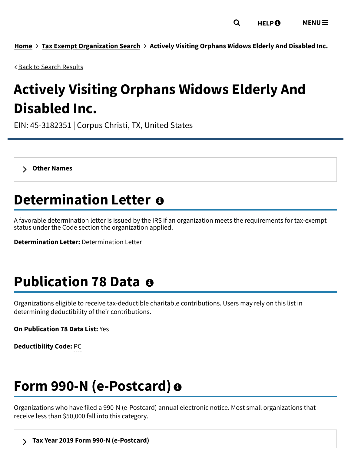**[Home](https://www.irs.gov/) Tax Exempt [Organization](https://apps.irs.gov/app/eos/) Search Actively Visiting Orphans Widows Elderly And Disabled Inc.**

Back to Search [Results](javascript: history.go(-1))

# **Actively Visiting Orphans Widows Elderly And Disabled Inc.**

EIN: 45-3182351 | Corpus Christi, TX, United States

**Other [Names](https://www.irs.gov/credits-deductions-for-individuals#otherNames00)**

## **Determination Letter**

A favorable determination letter is issued by the IRS if an organization meets the requirements for tax-exempt status under the Code section the organization applied.

**Determination Letter:** [Determination](https://apps.irs.gov/pub/epostcard/dl/FinalLetter_45-3182351_ACTIVELYVISITINGORPHANSWIDOWSELDERLYANDDISABLEDINC_07292013_01.tif) Letter

## **Publication 78 Data**

Organizations eligible to receive tax-deductible charitable contributions. Users may rely on this list in determining deductibility of their contributions.

**On Publication 78 Data List:** Yes

**Deductibility Code:** PC

## **Form 990-N (e-Postcard)**

Organizations who have filed a 990-N (e-Postcard) annual electronic notice. Most small organizations that receive less than \$50,000 fall into this category.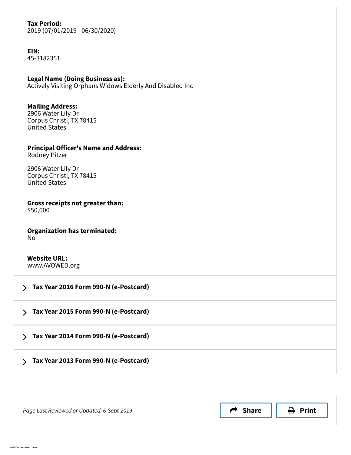#### **Tax Period:**

2019 (07/01/2019 - 06/30/2020)

**EIN:** 45-3182351

**Legal Name (Doing Business as):** Actively Visiting Orphans Widows Elderly And Disabled Inc

#### **Mailing Address:** 2906 Water Lily Dr Corpus Christi, TX 78415 United States

**Principal Officer's Name and Address:** Rodney Pitzer

2906 Water Lily Dr Corpus Christi, TX 78415 United States

**Gross receipts not greater than:** \$50,000

**Organization has terminated:** No

**Website URL:** www.AVOWED.org

 **Tax Year 2016 Form 990-N [\(e-Postcard\)](https://www.irs.gov/credits-deductions-for-individuals#ePostcard01) Tax Year 2015 Form 990-N [\(e-Postcard\)](https://www.irs.gov/credits-deductions-for-individuals#ePostcard02) Tax Year 2014 Form 990-N [\(e-Postcard\)](https://www.irs.gov/credits-deductions-for-individuals#ePostcard03) Tax Year 2013 Form 990-N [\(e-Postcard\)](https://www.irs.gov/credits-deductions-for-individuals#ePostcard04)**

| Page Last Reviewed or Updated: 6-Sept-2019 | <b>Share</b> | $\ominus$ Print |  |
|--------------------------------------------|--------------|-----------------|--|
|                                            |              |                 |  |